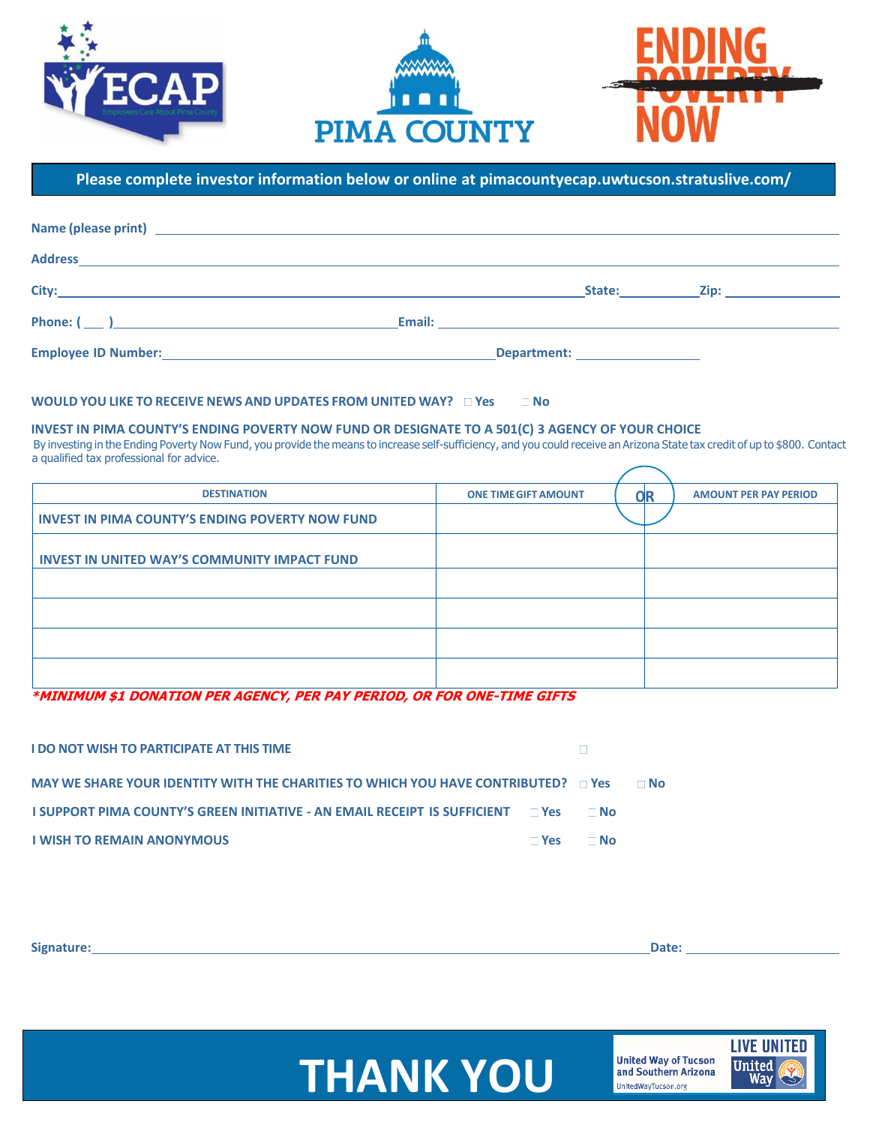





## **Please complete investor information below or online at pimacountyecap.uwtucson.stratuslive.com/**

| <b>Address</b><br><u> 1989 - Johann Stein, mars an deus Amerikaansk kommunister (</u> |  |                                                                                                                                                                                                                                |                        |
|---------------------------------------------------------------------------------------|--|--------------------------------------------------------------------------------------------------------------------------------------------------------------------------------------------------------------------------------|------------------------|
|                                                                                       |  | State: the state of the state of the state of the state of the state of the state of the state of the state of the state of the state of the state of the state of the state of the state of the state of the state of the sta | Zip: _________________ |
|                                                                                       |  |                                                                                                                                                                                                                                |                        |
|                                                                                       |  | Department: ___________________                                                                                                                                                                                                |                        |

## **WOULD YOU LIKE TO RECEIVE NEWS AND UPDATES FROM UNITED WAY?**  $\Box$  **Yes**  $\Box$  **No**

## **INVEST IN PIMA COUNTY'S ENDING POVERTY NOW FUND OR DESIGNATE TO A 501(C) 3 AGENCY OF YOUR CHOICE**

 By investing in the Ending Poverty Now Fund, you provide the means to increase self-sufficiency, and you could receive an Arizona State tax credit of up to \$800. Contact a qualified tax professional for advice.

| <b>DESTINATION</b>                                     | <b>ONE TIME GIFT AMOUNT</b> | <b>OR</b> | <b>AMOUNT PER PAY PERIOD</b> |
|--------------------------------------------------------|-----------------------------|-----------|------------------------------|
| <b>INVEST IN PIMA COUNTY'S ENDING POVERTY NOW FUND</b> |                             |           |                              |
| <b>INVEST IN UNITED WAY'S COMMUNITY IMPACT FUND</b>    |                             |           |                              |
|                                                        |                             |           |                              |
|                                                        |                             |           |                              |
|                                                        |                             |           |                              |
|                                                        |                             |           |                              |

**\*MINIMUM \$1 DONATION PER AGENCY, PER PAY PERIOD, OR FOR ONE-TIME GIFTS**

| <b>I DO NOT WISH TO PARTICIPATE AT THIS TIME</b>                                                       |       |      |      |
|--------------------------------------------------------------------------------------------------------|-------|------|------|
| MAY WE SHARE YOUR IDENTITY WITH THE CHARITIES TO WHICH YOU HAVE CONTRIBUTED? LYes                      |       |      | ⊟ No |
| <b>I SUPPORT PIMA COUNTY'S GREEN INITIATIVE - AN EMAIL RECEIPT IS SUFFICIENT <math>\Box</math> Yes</b> |       | ⊟ No |      |
| <b>I WISH TO REMAIN ANONYMOUS</b>                                                                      | ⊟ Yes | ⊟ No |      |



**United Way of Tucson** and Southern Arizona UnitedWayTucson.org